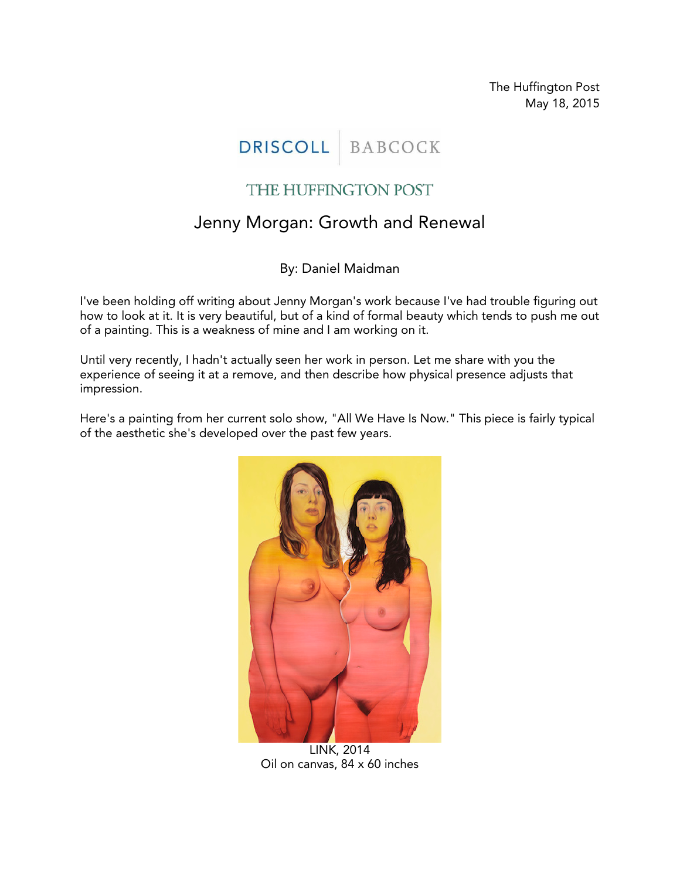The Huffington Post May 18, 2015

## **DRISCOLL BABCOCK**

## THE HUFFINGTON POST

## Jenny Morgan: Growth and Renewal

By: Daniel Maidman

I've been holding off writing about Jenny Morgan's work because I've had trouble figuring out how to look at it. It is very beautiful, but of a kind of formal beauty which tends to push me out of a painting. This is a weakness of mine and I am working on it.

Until very recently, I hadn't actually seen her work in person. Let me share with you the experience of seeing it at a remove, and then describe how physical presence adjusts that impression.

Here's a painting from her current solo show, "All We Have Is Now." This piece is fairly typical of the aesthetic she's developed over the past few years.



LINK, 2014 Oil on canvas, 84 x 60 inches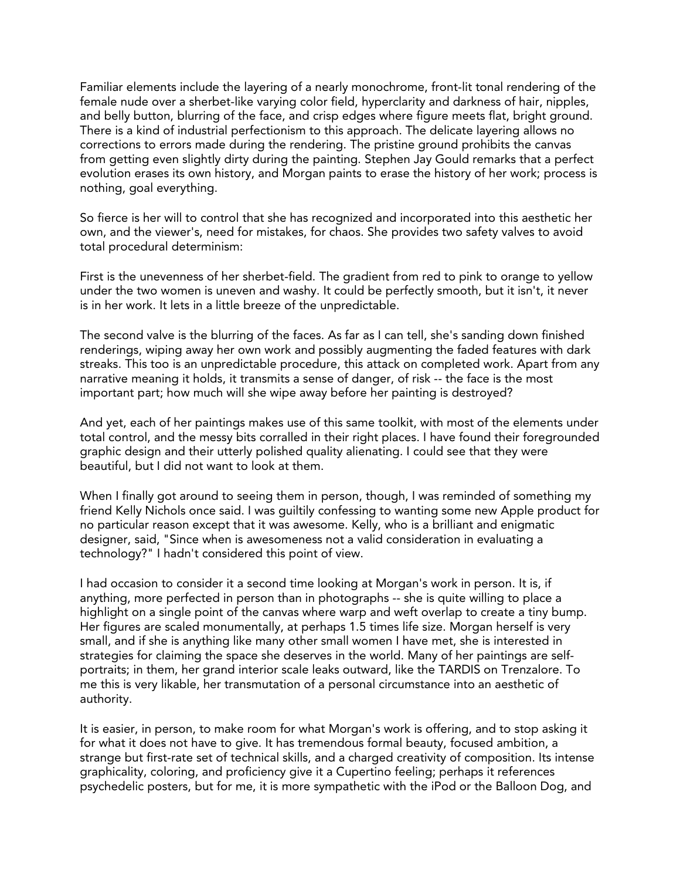Familiar elements include the layering of a nearly monochrome, front-lit tonal rendering of the female nude over a sherbet-like varying color field, hyperclarity and darkness of hair, nipples, and belly button, blurring of the face, and crisp edges where figure meets flat, bright ground. There is a kind of industrial perfectionism to this approach. The delicate layering allows no corrections to errors made during the rendering. The pristine ground prohibits the canvas from getting even slightly dirty during the painting. Stephen Jay Gould remarks that a perfect evolution erases its own history, and Morgan paints to erase the history of her work; process is nothing, goal everything.

So fierce is her will to control that she has recognized and incorporated into this aesthetic her own, and the viewer's, need for mistakes, for chaos. She provides two safety valves to avoid total procedural determinism:

First is the unevenness of her sherbet-field. The gradient from red to pink to orange to yellow under the two women is uneven and washy. It could be perfectly smooth, but it isn't, it never is in her work. It lets in a little breeze of the unpredictable.

The second valve is the blurring of the faces. As far as I can tell, she's sanding down finished renderings, wiping away her own work and possibly augmenting the faded features with dark streaks. This too is an unpredictable procedure, this attack on completed work. Apart from any narrative meaning it holds, it transmits a sense of danger, of risk -- the face is the most important part; how much will she wipe away before her painting is destroyed?

And yet, each of her paintings makes use of this same toolkit, with most of the elements under total control, and the messy bits corralled in their right places. I have found their foregrounded graphic design and their utterly polished quality alienating. I could see that they were beautiful, but I did not want to look at them.

When I finally got around to seeing them in person, though, I was reminded of something my friend Kelly Nichols once said. I was guiltily confessing to wanting some new Apple product for no particular reason except that it was awesome. Kelly, who is a brilliant and enigmatic designer, said, "Since when is awesomeness not a valid consideration in evaluating a technology?" I hadn't considered this point of view.

I had occasion to consider it a second time looking at Morgan's work in person. It is, if anything, more perfected in person than in photographs -- she is quite willing to place a highlight on a single point of the canvas where warp and weft overlap to create a tiny bump. Her figures are scaled monumentally, at perhaps 1.5 times life size. Morgan herself is very small, and if she is anything like many other small women I have met, she is interested in strategies for claiming the space she deserves in the world. Many of her paintings are selfportraits; in them, her grand interior scale leaks outward, like the TARDIS on Trenzalore. To me this is very likable, her transmutation of a personal circumstance into an aesthetic of authority.

It is easier, in person, to make room for what Morgan's work is offering, and to stop asking it for what it does not have to give. It has tremendous formal beauty, focused ambition, a strange but first-rate set of technical skills, and a charged creativity of composition. Its intense graphicality, coloring, and proficiency give it a Cupertino feeling; perhaps it references psychedelic posters, but for me, it is more sympathetic with the iPod or the Balloon Dog, and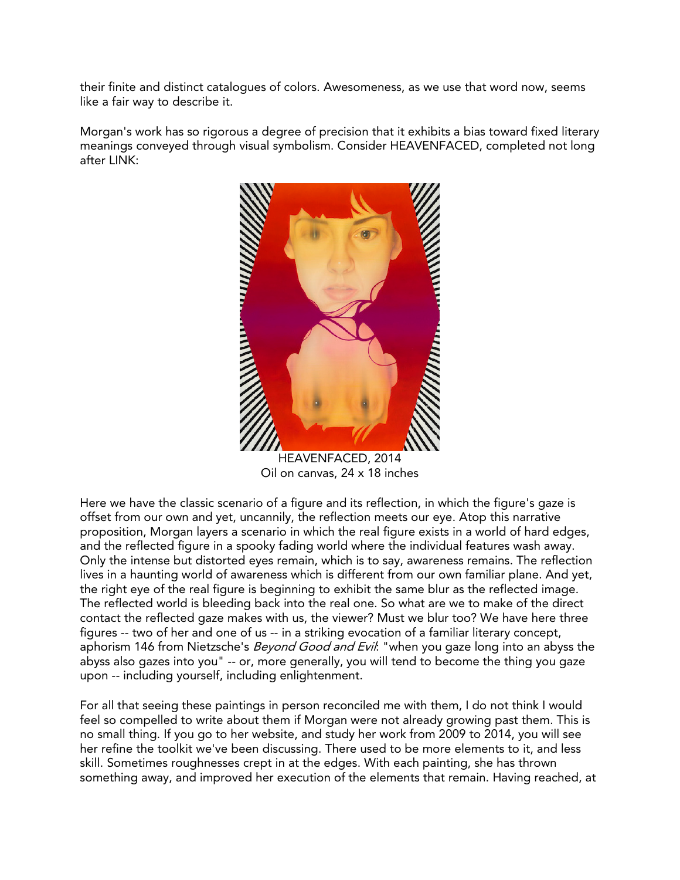their finite and distinct catalogues of colors. Awesomeness, as we use that word now, seems like a fair way to describe it.

Morgan's work has so rigorous a degree of precision that it exhibits a bias toward fixed literary meanings conveyed through visual symbolism. Consider HEAVENFACED, completed not long after LINK:



Oil on canvas, 24 x 18 inches

Here we have the classic scenario of a figure and its reflection, in which the figure's gaze is offset from our own and yet, uncannily, the reflection meets our eye. Atop this narrative proposition, Morgan layers a scenario in which the real figure exists in a world of hard edges, and the reflected figure in a spooky fading world where the individual features wash away. Only the intense but distorted eyes remain, which is to say, awareness remains. The reflection lives in a haunting world of awareness which is different from our own familiar plane. And yet, the right eye of the real figure is beginning to exhibit the same blur as the reflected image. The reflected world is bleeding back into the real one. So what are we to make of the direct contact the reflected gaze makes with us, the viewer? Must we blur too? We have here three figures -- two of her and one of us -- in a striking evocation of a familiar literary concept, aphorism 146 from Nietzsche's Beyond Good and Evil: "when you gaze long into an abyss the abyss also gazes into you" -- or, more generally, you will tend to become the thing you gaze upon -- including yourself, including enlightenment.

For all that seeing these paintings in person reconciled me with them, I do not think I would feel so compelled to write about them if Morgan were not already growing past them. This is no small thing. If you go to her website, and study her work from 2009 to 2014, you will see her refine the toolkit we've been discussing. There used to be more elements to it, and less skill. Sometimes roughnesses crept in at the edges. With each painting, she has thrown something away, and improved her execution of the elements that remain. Having reached, at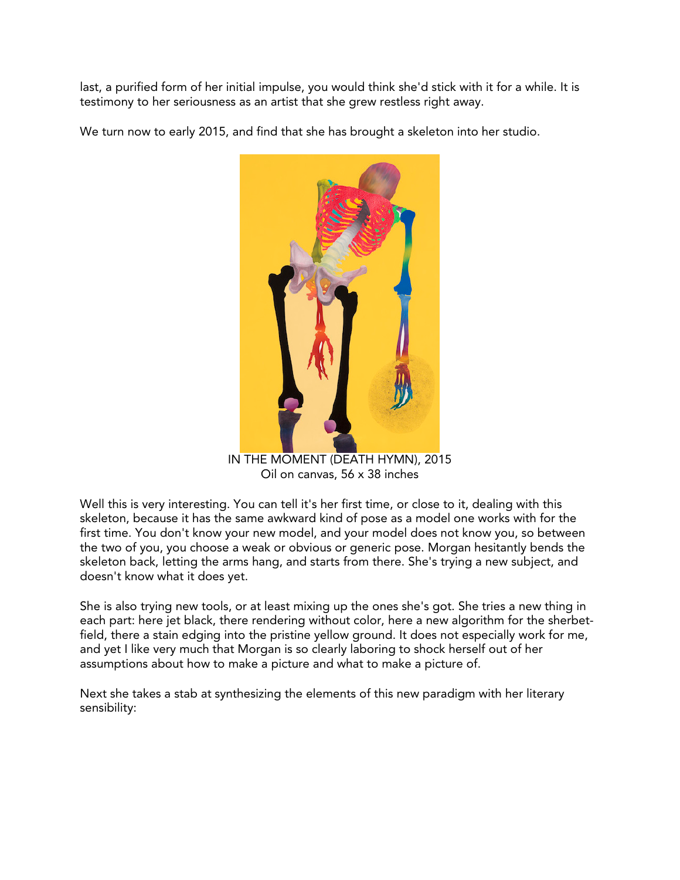last, a purified form of her initial impulse, you would think she'd stick with it for a while. It is testimony to her seriousness as an artist that she grew restless right away.

We turn now to early 2015, and find that she has brought a skeleton into her studio.



IN THE MOMENT (DEATH HYMN), 2015 Oil on canvas, 56 x 38 inches

Well this is very interesting. You can tell it's her first time, or close to it, dealing with this skeleton, because it has the same awkward kind of pose as a model one works with for the first time. You don't know your new model, and your model does not know you, so between the two of you, you choose a weak or obvious or generic pose. Morgan hesitantly bends the skeleton back, letting the arms hang, and starts from there. She's trying a new subject, and doesn't know what it does yet.

She is also trying new tools, or at least mixing up the ones she's got. She tries a new thing in each part: here jet black, there rendering without color, here a new algorithm for the sherbetfield, there a stain edging into the pristine yellow ground. It does not especially work for me, and yet I like very much that Morgan is so clearly laboring to shock herself out of her assumptions about how to make a picture and what to make a picture of.

Next she takes a stab at synthesizing the elements of this new paradigm with her literary sensibility: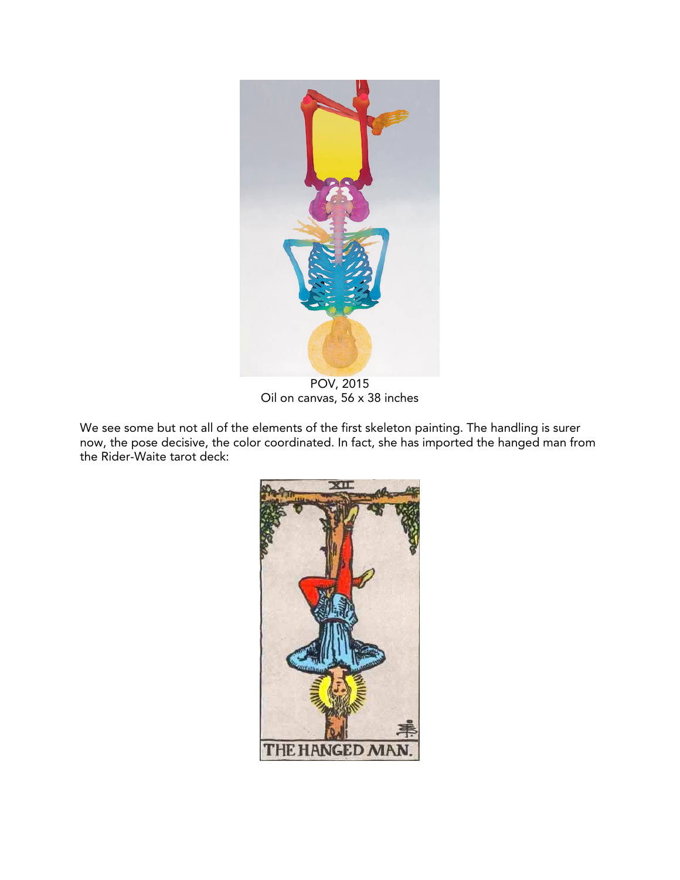

POV, 2015 Oil on canvas, 56 x 38 inches

We see some but not all of the elements of the first skeleton painting. The handling is surer now, the pose decisive, the color coordinated. In fact, she has imported the hanged man from the Rider-Waite tarot deck:

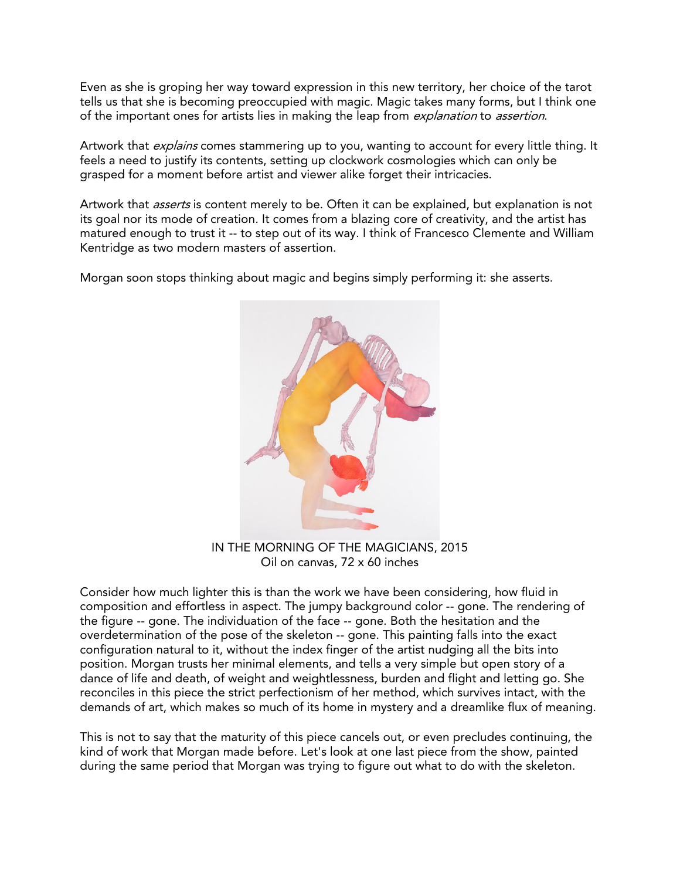Even as she is groping her way toward expression in this new territory, her choice of the tarot tells us that she is becoming preoccupied with magic. Magic takes many forms, but I think one of the important ones for artists lies in making the leap from *explanation* to *assertion*.

Artwork that *explains* comes stammering up to you, wanting to account for every little thing. It feels a need to justify its contents, setting up clockwork cosmologies which can only be grasped for a moment before artist and viewer alike forget their intricacies.

Artwork that *asserts* is content merely to be. Often it can be explained, but explanation is not its goal nor its mode of creation. It comes from a blazing core of creativity, and the artist has matured enough to trust it -- to step out of its way. I think of Francesco Clemente and William Kentridge as two modern masters of assertion.

Morgan soon stops thinking about magic and begins simply performing it: she asserts.



IN THE MORNING OF THE MAGICIANS, 2015 Oil on canvas, 72 x 60 inches

Consider how much lighter this is than the work we have been considering, how fluid in composition and effortless in aspect. The jumpy background color -- gone. The rendering of the figure -- gone. The individuation of the face -- gone. Both the hesitation and the overdetermination of the pose of the skeleton -- gone. This painting falls into the exact configuration natural to it, without the index finger of the artist nudging all the bits into position. Morgan trusts her minimal elements, and tells a very simple but open story of a dance of life and death, of weight and weightlessness, burden and flight and letting go. She reconciles in this piece the strict perfectionism of her method, which survives intact, with the demands of art, which makes so much of its home in mystery and a dreamlike flux of meaning.

This is not to say that the maturity of this piece cancels out, or even precludes continuing, the kind of work that Morgan made before. Let's look at one last piece from the show, painted during the same period that Morgan was trying to figure out what to do with the skeleton.